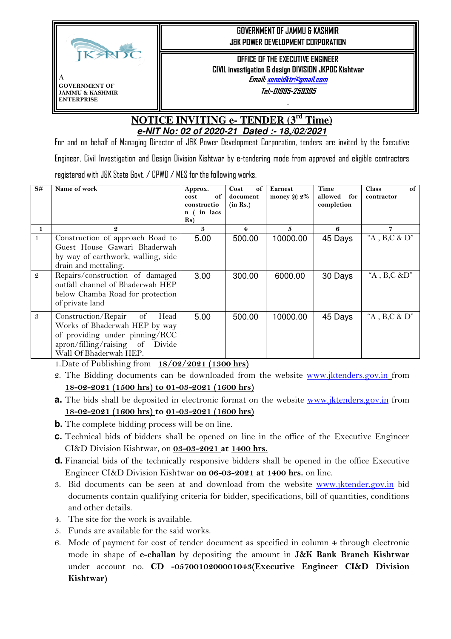

## **GOVERNMENT OF JAMMU & KASHMIR J&K POWER DEVELOPMENT CORPORATION**

**OFFICE OF THE EXECUTIVE ENGINEER CIVIL investigation & design DIVISION JKPDC Kishtwar Email: xencidktr@gmail.com**

**Tel:-01995-259395** 

**.** 

## **NOTICE INVITING e- TENDER (3rd Time) e-NIT No: 02 of 2020-21 Dated :- 18,/02/2021**

For and on behalf of Managing Director of J&K Power Development Corporation, tenders are invited by the Executive Engineer, Civil Investigation and Design Division Kishtwar by e-tendering mode from approved and eligible contractors registered with J&K State Govt. / CPWD / MES for the following works.

| S#            | Name of work                            | Approx.<br>cost<br>of<br>constructio<br>in lacs<br>n (<br>$\{Rs\}$ | Cost<br>of<br>document<br>(in Rs.) | <b>Earnest</b><br>money $\omega$ 2% | Time<br>for<br>allowed<br>completion | of<br><b>Class</b><br>contractor |
|---------------|-----------------------------------------|--------------------------------------------------------------------|------------------------------------|-------------------------------------|--------------------------------------|----------------------------------|
|               | $\boldsymbol{2}$                        | 3                                                                  | 4                                  | 5                                   | 6                                    | 7                                |
|               | Construction of approach Road to        | 5.00                                                               | 500.00                             | 10000.00                            | 45 Days                              | "A , B,C & D"                    |
|               | Guest House Gawari Bhaderwah            |                                                                    |                                    |                                     |                                      |                                  |
|               | by way of earthwork, walling, side      |                                                                    |                                    |                                     |                                      |                                  |
|               | drain and mettaling.                    |                                                                    |                                    |                                     |                                      |                                  |
| $\mathcal{Q}$ | Repairs/construction of damaged         | 3.00                                                               | 300.00                             | 6000.00                             | 30 Days                              | "A, $B, C \& D$ "                |
|               | outfall channel of Bhaderwah HEP        |                                                                    |                                    |                                     |                                      |                                  |
|               | below Chamba Road for protection        |                                                                    |                                    |                                     |                                      |                                  |
|               | of private land                         |                                                                    |                                    |                                     |                                      |                                  |
| 3             | Construction/Repair<br>of<br>Head       | 5.00                                                               | 500.00                             | 10000.00                            | 45 Days                              | "A , B,C & D"                    |
|               | Works of Bhaderwah HEP by way           |                                                                    |                                    |                                     |                                      |                                  |
|               | of providing under pinning/RCC          |                                                                    |                                    |                                     |                                      |                                  |
|               | apron/filling/raising of<br>Divide      |                                                                    |                                    |                                     |                                      |                                  |
|               | Wall Of Bhaderwah HEP.<br>$\sim$ $\sim$ |                                                                    |                                    |                                     |                                      |                                  |

1.Date of Publishing from **18/02/2021 (1300 hrs)**

- 2. The Bidding documents can be downloaded from the website www.jktenders.gov.in from **18-02-2021 (1500 hrs) to 01-03-2021 (1600 hrs)**
- **a.** The bids shall be deposited in electronic format on the website www.jktenders.gov.in from **18-02-2021 (1600 hrs) to 01-03-2021 (1600 hrs)**
- **b.** The complete bidding process will be on line.
- **c.** Technical bids of bidders shall be opened on line in the office of the Executive Engineer CI&D Division Kishtwar, on **03-03-2021 at 1400 hrs.**
- **d.** Financial bids of the technically responsive bidders shall be opened in the office Executive Engineer CI&D Division Kishtwar **on 06-03-2021 at 1400 hrs.** on line.
- 3. Bid documents can be seen at and download from the website www.jktender.gov.in bid documents contain qualifying criteria for bidder, specifications, bill of quantities, conditions and other details.
- 4. The site for the work is available.
- 5. Funds are available for the said works.
- 6. Mode of payment for cost of tender document as specified in column **4** through electronic mode in shape of **e-challan** by depositing the amount in **J&K Bank Branch Kishtwar** under account no. **CD -0570010200001043(Executive Engineer CI&D Division Kishtwar)**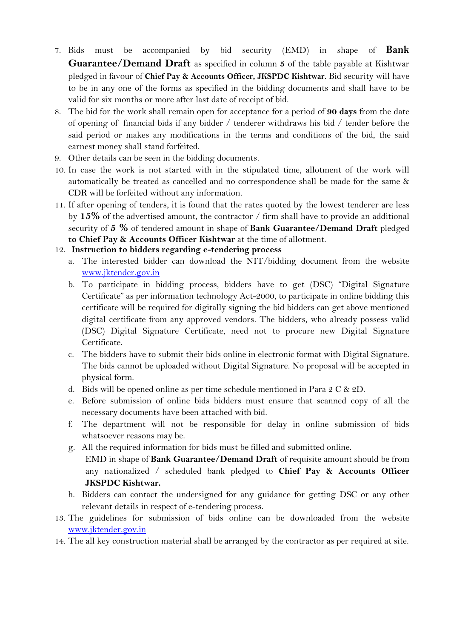- 7. Bids must be accompanied by bid security (EMD) in shape of **Bank Guarantee/Demand Draft** as specified in column **5** of the table payable at Kishtwar pledged in favour of **Chief Pay & Accounts Officer, JKSPDC Kishtwar**. Bid security will have to be in any one of the forms as specified in the bidding documents and shall have to be valid for six months or more after last date of receipt of bid.
- 8. The bid for the work shall remain open for acceptance for a period of **90 days** from the date of opening of financial bids if any bidder / tenderer withdraws his bid / tender before the said period or makes any modifications in the terms and conditions of the bid, the said earnest money shall stand forfeited.
- 9. Other details can be seen in the bidding documents.
- 10. In case the work is not started with in the stipulated time, allotment of the work will automatically be treated as cancelled and no correspondence shall be made for the same & CDR will be forfeited without any information.
- 11. If after opening of tenders, it is found that the rates quoted by the lowest tenderer are less by **15%** of the advertised amount, the contractor / firm shall have to provide an additional security of **5 %** of tendered amount in shape of **Bank Guarantee/Demand Draft** pledged **to Chief Pay & Accounts Officer Kishtwar** at the time of allotment.

## 12. **Instruction to bidders regarding e-tendering process**

- a. The interested bidder can download the NIT/bidding document from the website www.jktender.gov.in
- b. To participate in bidding process, bidders have to get (DSC) "Digital Signature Certificate" as per information technology Act-2000, to participate in online bidding this certificate will be required for digitally signing the bid bidders can get above mentioned digital certificate from any approved vendors. The bidders, who already possess valid (DSC) Digital Signature Certificate, need not to procure new Digital Signature Certificate.
- c. The bidders have to submit their bids online in electronic format with Digital Signature. The bids cannot be uploaded without Digital Signature. No proposal will be accepted in physical form.
- d. Bids will be opened online as per time schedule mentioned in Para 2 C & 2D.
- e. Before submission of online bids bidders must ensure that scanned copy of all the necessary documents have been attached with bid.
- f. The department will not be responsible for delay in online submission of bids whatsoever reasons may be.
- g. All the required information for bids must be filled and submitted online.
	- EMD in shape of **Bank Guarantee/Demand Draft** of requisite amount should be from any nationalized / scheduled bank pledged to **Chief Pay & Accounts Officer JKSPDC Kishtwar.**
- h. Bidders can contact the undersigned for any guidance for getting DSC or any other relevant details in respect of e-tendering process.
- 13. The guidelines for submission of bids online can be downloaded from the website www.jktender.gov.in
- 14. The all key construction material shall be arranged by the contractor as per required at site.